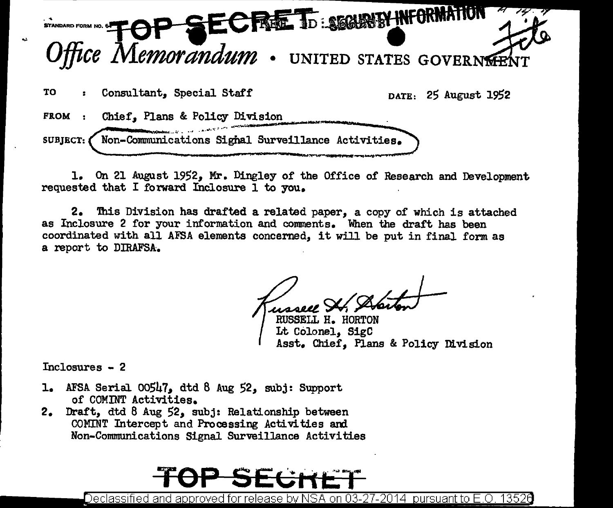

1. On 21 August 1952, Mr. Dingley of the Office of Research and Development requested that I forward Inclosure 1 to you.

2. 'Ibis Division has drafted a related paper, a copy of which is attached as Inclosure 2 for your information and comments. When the draft has been coordinated with all AFSA elements concerned, it will be put in final form as a report to DIRAFSA.

RUSSELL H. HORTON Lt Colonel, SigC Asst. Chief. Plans & Policy Division

Inclosures - 2

- 1. AFSA Serial 00547, dtd 8 Aug 52, subj: Support of COMINT Activities.
- 2. Draft, dtd 8 Aug 52, subj: Relationship between COMINT Intercept and Processing Activities ard Non-Communications Signal Surveillance Activities

Declassified and approved for release by NSA on 03-27-2014  $\,$  pursuant to E.O. 1352 $6$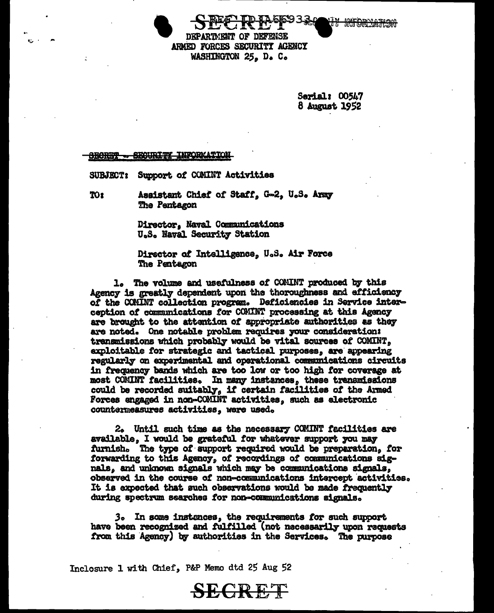DEPARTMENT OF DEFENSE ARMED FORCES SECURITY AGENCY WASHINGTON 25. D. C.

> Serial: 00547 8 August 1952

## **INFORMATION**

SUBJECT: Support of COMINT Activities

TO<sub>2</sub> Assistant Chief of Staff, G-2, U.S. Army The Pentagon

> Director, Naval Communications U.S. Naval Security Station

Director of Intelligence, U.S. Air Force The Pentagon

1. The volume and usefulness of COMINT produced by this Agency is greatly dependent upon the thoroughness and efficiency of the COMINT collection program. Deficiencies in Service interception of communications for COMINT processing at this Agency are brought to the attention of appropriate authorities as they are noted. One notable problem requires your consideration: transmissions which probably would be vital sources of COMINT. exploitable for strategic and tactical purposes, are appearing regularly on experimental and operational communications circuits in frequency bands which are too low or too high for coverage at most COMINT facilities. In many instances, these transmissions could be recorded suitably, if certain facilities of the Armed Forces engaged in non-COMINT activities, such as electronic countermeasures activities, were used.

2. Until such time as the necessary COMINT facilities are available. I would be grateful for whatever support you may furnish. The type of support required would be preparation, for forwarding to this Agency, of recordings of communications signals, and unknown signals which may be communications signals, observed in the course of non-communications intercept activities. It is expected that such observations would be made frequently during spectrum searches for non-communications signals.

3. In some instances, the requirements for such support have been recognized and fulfilled (not necessarily upon requests from this Agency) by authorities in the Services. The purpose

**SECRET** 

Inclosure 1 with Chief, P&P Memo dtd 25 Aug 52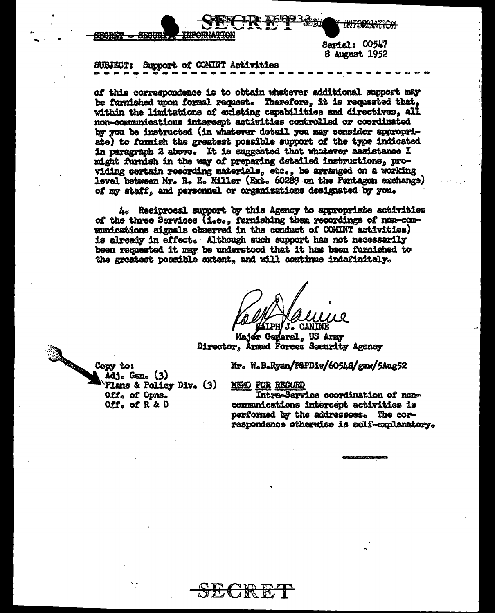

8 August 1952

### Support of COMINT Activities **SURJECT:**

of this correspondence is to obtain whatever additional support may be furnished upon formal request. Therefore, it is requested that, within the limitations of existing capabilities and directives, all non-communications intercept activities controlled or coordinated by you be instructed (in whatever detail you may consider appropriate) to furnish the greatest possible support of the type indicated in paragraph 2 above. It is suggested that whatever assistance I might furnish in the way of preparing detailed instructions, providing certain recording materials, etc., be arranged on a working level between Mr. R. E. Miller (Ext. 60289 on the Pentagon exchange) of my staff, and personnel or organizations designated by you.

4. Reciprocal support by this Agency to appropriate activities of the three Services (i.e., furnishing them recordings of non-communications signals observed in the conduct of COMINT activities) is already in effect. Although such support has not necessarily been requested it may be understood that it has been furnished to the greatest possible extent, and will continue indefinitaly.

**J. CANINE** 

Major General. US Army Director. Armed Forces Security Agency

Mr. W.B.Ryan/P&PDiv/60548/gaw/5Aug52

MEMO FOR RECORD

Intra-Service coordination of noncommunications intercept activities is performed by the addressees. The correspondence otherwise is self-explanatory.

Copy to: Adj. Gen. (3) Plans & Policy Div. (3) Off. of Opns. Off. of  $R$  & D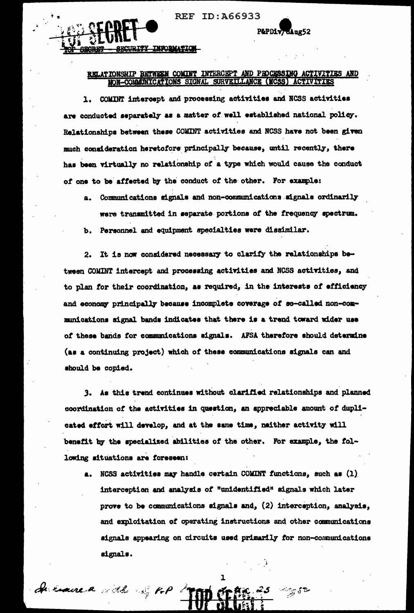**REF ID:A66933** 

P&PDiv/GAug52



# RELATIONSHIP BETWEEN COMINT INTERCEPT AND PEDGESSING ACTIVITIES AND NON-COMMUNICATIONS SIGNAL SURVEILLANCE (MCSS

1. COMINT intercept and processing activities and NCSS activities are conducted separately as a matter of well established national policy. Relationships between these COMINT activities and NCSS have not been given much consideration heretofore principally because, until recently, there has been virtually no relationship of a type which would cause the conduct of one to be affected by the conduct of the other. For example:

a. Communications signals and non-communications signals ordinarily were transmitted in separate portions of the frequency spectrum. b. Personnel and equipment specialties were dissimilar.

2. It is now considered necessary to clarify the relationships between COMINT intercept and processing activities and NCSS activities, and to plan for their coordination, as required, in the interests of efficiency and economy principally because incomplete coverage of so-called non-communications signal bands indicates that there is a trend toward wider use of these bands for communications signals. AFSA therefore should determine (as a continuing project) which of these communications signals can and should be copied.

3. As this trend continues without clarified relationships and planned coordination of the activities in question, an appreciable amount of duplicated effort will develop, and at the same time, neither activity will benefit by the specialized abilities of the other. For example, the following situations are foreseen:

a. NCSS activities may handle certain COMINT functions, such as (1) interception and analysis of "unidentified" signals which later prove to be communications signals and, (2) interception, analysis, and exploitation of operating instructions and other communications signals appearing on circuits used primarily for non-communications signals.

ı

de have a ville of top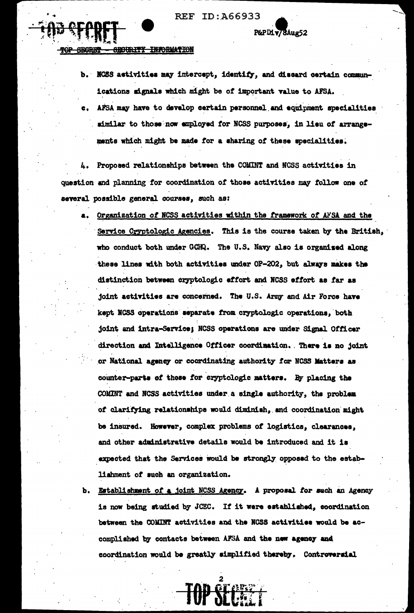**REF ID:A66933** 

**TNUCRIMATION** <del>hichir.TTY</del>

> b. NCSS activities may intercept, identify, and discard certain communications signals which might be of important value to AFSA.

P&PDiv78Aug52

AFSA may have to develop certain personnel and equipment specialities similar to those now employed for NCSS purposes, in lieu of arrangements which might be made for a sharing of these specialities.

Proposed relationships between the COMINT and NCSS activities in question and planning for coordination of those activities may follow one of several possible general courses, such as:

- Organization of NCSS activities within the framework of AFSA and the **a.** Service Cryptologic Agencies. This is the course taken by the British, who conduct both under GCHQ. The U.S. Navy also is organised along these lines with both activities under OP-202, but always makes the distinction between cryptologic effort and NCSS effort as far as joint activities are concerned. The U.S. Army and Air Force have kept NCSS operations separate from cryptologic operations, both joint and intra-Service; NCSS operations are under Signal Officer direction and Intelligence Officer coordination. There is no joint or National agency or coordinating authority for NCSS Matters as counter-parts of those for cryptologic matters. By placing the COMINT and NCSS activities under a single authority, the problem of clarifying relationships would diminish, and coordination might be insured. However, complex problems of logistics, clearances, and other administrative details would be introduced and it is expected that the Services would be strongly opposed to the establishment of such an organization.
- b. Establishment of a joint NCSS Agency. A proposal for such an Agency is now being studied by JCEC. If it were established, coordination between the COMINT activities and the NCSS activities would be accomplished by contacts between AFSA and the new agency and coordination would be greatly simplified thereby. Controversial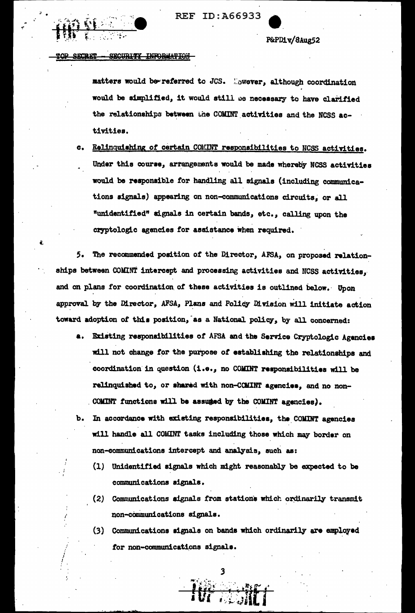

P&PD1v/8Aug52

#### **TABLE SECRET** SECURITY INFORMATION

matters would be referred to JCS. Movever, although coordination would be simplified, it would still be necessary to have clarified the relationships between the COMINT activities and the NCSS activities.

Relinquishing of certain COMINT responsibilities to NCSS activities.  $\alpha$ . Under this course, arrangements would be made whereby NCSS activities would be responsible for handling all signals (including communications signals) appearing on non-communications circuits, or all "unidentified" signals in certain bands, etc., calling upon the cryptologic agencies for assistance when required.

The recommended position of the Director, AFSA, on proposed relation-5. ships between COMINT intercept and processing activities and NCSS activities, and on plans for coordination of these activities is outlined below. Upon approval by the Director, AFSA, Plans and Policy Division will initiate action toward adoption of this position, as a National policy, by all concerned:

- a. Existing responsibilities of AFSA and the Service Cryptologic Agencies will not change for the purpose of establishing the relationships and coordination in question (i.e., no COMINT responsibilities will be relinquished to, or shared with non-COMINT agencies, and no non-COMINT functions will be assumed by the COMINT agencies).
- In accordance with existing responsibilities, the COMINT agencies ъ. will handle all COMINT tasks including those which may border on non-communications intercept and analysis, such as:
	- (1) Unidentified signals which might reasonably be expected to be communications signals.
	- (2) Communications signals from stations which ordinarily transmit non-communications signals.
	- (3) Communications signals on bands which ordinarily are employed for non-communications signals.